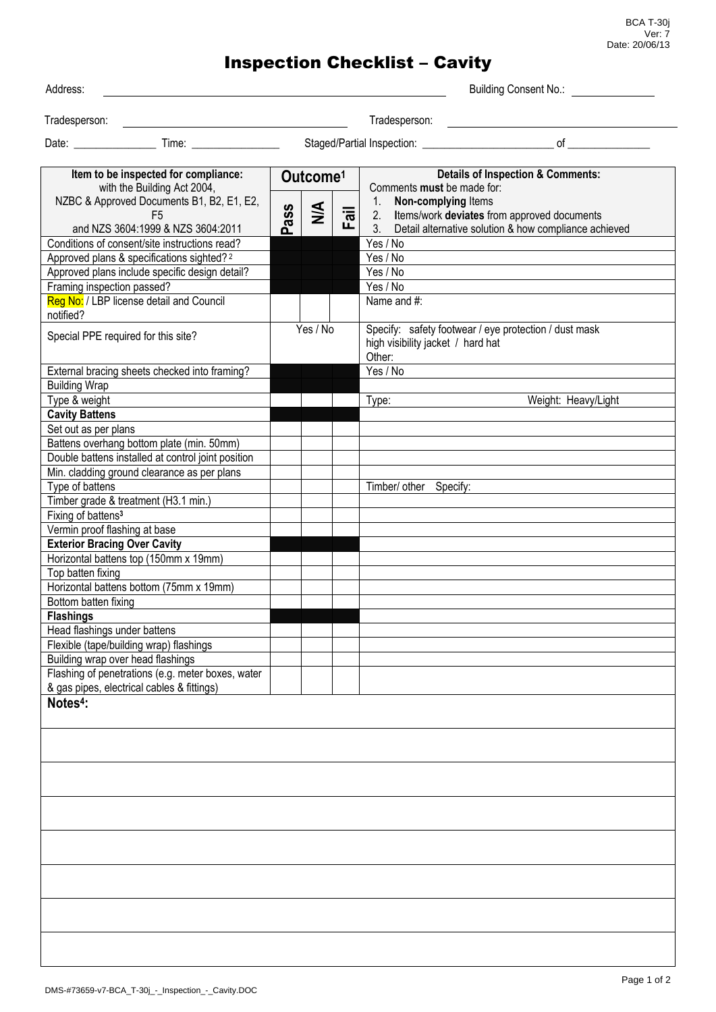BCA T-30j Ver: 7 Date: 20/06/13

## Inspection Checklist – Cavity

| Address: |
|----------|

Building Consent No.:

Tradesperson: Tradesperson:

Date: \_\_\_\_\_\_\_\_\_\_\_\_\_\_\_ Time: \_\_\_\_\_\_\_\_\_\_\_\_\_\_\_\_ Staged/Partial Inspection: \_\_\_\_\_\_\_\_\_\_\_\_\_\_\_\_\_\_\_\_\_\_\_\_ of \_\_\_\_\_\_\_\_\_\_\_\_\_\_\_

| Item to be inspected for compliance:<br>with the Building Act 2004, | Outcome <sup>1</sup> |               |                           | <b>Details of Inspection &amp; Comments:</b><br>Comments must be made for:                 |  |  |
|---------------------------------------------------------------------|----------------------|---------------|---------------------------|--------------------------------------------------------------------------------------------|--|--|
| NZBC & Approved Documents B1, B2, E1, E2,                           |                      |               |                           | Non-complying Items<br>1.                                                                  |  |  |
| F <sub>5</sub>                                                      | Pass                 | $\frac{4}{2}$ | $\overline{\overline{a}}$ | Items/work deviates from approved documents<br>2.                                          |  |  |
| and NZS 3604:1999 & NZS 3604:2011                                   |                      |               | ட                         | Detail alternative solution & how compliance achieved<br>$3_{-}$                           |  |  |
| Conditions of consent/site instructions read?                       |                      |               |                           | Yes / No                                                                                   |  |  |
| Approved plans & specifications sighted? <sup>2</sup>               |                      |               |                           | Yes / No                                                                                   |  |  |
| Approved plans include specific design detail?                      |                      |               |                           | Yes / No                                                                                   |  |  |
| Framing inspection passed?                                          |                      |               |                           | Yes / No                                                                                   |  |  |
| Reg No: / LBP license detail and Council                            |                      |               |                           | Name and #:                                                                                |  |  |
| notified?                                                           |                      |               |                           |                                                                                            |  |  |
| Special PPE required for this site?                                 |                      | Yes / No      |                           | Specify: safety footwear / eye protection / dust mask<br>high visibility jacket / hard hat |  |  |
|                                                                     |                      |               |                           | Other:                                                                                     |  |  |
| External bracing sheets checked into framing?                       |                      |               |                           | Yes / No                                                                                   |  |  |
| <b>Building Wrap</b>                                                |                      |               |                           |                                                                                            |  |  |
| Type & weight                                                       |                      |               |                           | Weight: Heavy/Light<br>Type:                                                               |  |  |
| <b>Cavity Battens</b>                                               |                      |               |                           |                                                                                            |  |  |
| Set out as per plans                                                |                      |               |                           |                                                                                            |  |  |
| Battens overhang bottom plate (min. 50mm)                           |                      |               |                           |                                                                                            |  |  |
| Double battens installed at control joint position                  |                      |               |                           |                                                                                            |  |  |
| Min. cladding ground clearance as per plans                         |                      |               |                           |                                                                                            |  |  |
| Type of battens                                                     |                      |               |                           | Timber/ other Specify:                                                                     |  |  |
| Timber grade & treatment (H3.1 min.)                                |                      |               |                           |                                                                                            |  |  |
|                                                                     |                      |               |                           |                                                                                            |  |  |
| Fixing of battens <sup>3</sup>                                      |                      |               |                           |                                                                                            |  |  |
| Vermin proof flashing at base                                       |                      |               |                           |                                                                                            |  |  |
| <b>Exterior Bracing Over Cavity</b>                                 |                      |               |                           |                                                                                            |  |  |
| Horizontal battens top (150mm x 19mm)                               |                      |               |                           |                                                                                            |  |  |
| Top batten fixing                                                   |                      |               |                           |                                                                                            |  |  |
| Horizontal battens bottom (75mm x 19mm)                             |                      |               |                           |                                                                                            |  |  |
| Bottom batten fixing                                                |                      |               |                           |                                                                                            |  |  |
| <b>Flashings</b>                                                    |                      |               |                           |                                                                                            |  |  |
| Head flashings under battens                                        |                      |               |                           |                                                                                            |  |  |
| Flexible (tape/building wrap) flashings                             |                      |               |                           |                                                                                            |  |  |
| Building wrap over head flashings                                   |                      |               |                           |                                                                                            |  |  |
| Flashing of penetrations (e.g. meter boxes, water                   |                      |               |                           |                                                                                            |  |  |
| & gas pipes, electrical cables & fittings)                          |                      |               |                           |                                                                                            |  |  |
| Notes <sup>4</sup> :                                                |                      |               |                           |                                                                                            |  |  |
|                                                                     |                      |               |                           |                                                                                            |  |  |
|                                                                     |                      |               |                           |                                                                                            |  |  |
|                                                                     |                      |               |                           |                                                                                            |  |  |
|                                                                     |                      |               |                           |                                                                                            |  |  |
|                                                                     |                      |               |                           |                                                                                            |  |  |
|                                                                     |                      |               |                           |                                                                                            |  |  |
|                                                                     |                      |               |                           |                                                                                            |  |  |
|                                                                     |                      |               |                           |                                                                                            |  |  |
|                                                                     |                      |               |                           |                                                                                            |  |  |
|                                                                     |                      |               |                           |                                                                                            |  |  |
|                                                                     |                      |               |                           |                                                                                            |  |  |
|                                                                     |                      |               |                           |                                                                                            |  |  |
|                                                                     |                      |               |                           |                                                                                            |  |  |
|                                                                     |                      |               |                           |                                                                                            |  |  |
|                                                                     |                      |               |                           |                                                                                            |  |  |
|                                                                     |                      |               |                           |                                                                                            |  |  |
|                                                                     |                      |               |                           |                                                                                            |  |  |
|                                                                     |                      |               |                           |                                                                                            |  |  |